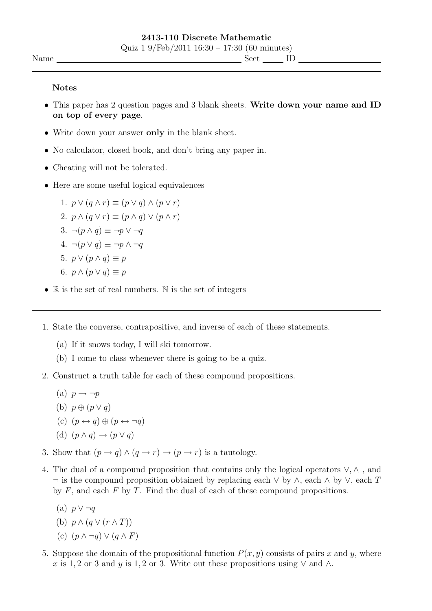## Notes

- This paper has 2 question pages and 3 blank sheets. Write down your name and ID on top of every page.
- Write down your answer only in the blank sheet.
- No calculator, closed book, and don't bring any paper in.
- Cheating will not be tolerated.
- Here are some useful logical equivalences

1.  $p \vee (q \wedge r) \equiv (p \vee q) \wedge (p \vee r)$ 2.  $p \wedge (q \vee r) \equiv (p \wedge q) \vee (p \wedge r)$ 3.  $\neg(p \wedge q) \equiv \neg p \vee \neg q$ 4.  $\neg(p \lor q) \equiv \neg p \land \neg q$ 5.  $p \vee (p \wedge q) \equiv p$ 6.  $p \wedge (p \vee q) \equiv p$ 

- $\mathbb R$  is the set of real numbers. N is the set of integers
- 1. State the converse, contrapositive, and inverse of each of these statements.
	- (a) If it snows today, I will ski tomorrow.
	- (b) I come to class whenever there is going to be a quiz.
- 2. Construct a truth table for each of these compound propositions.
	- (a)  $p \rightarrow \neg p$
	- (b)  $p \oplus (p \vee q)$
	- (c)  $(p \leftrightarrow q) \oplus (p \leftrightarrow \neg q)$

(d) 
$$
(p \land q) \rightarrow (p \lor q)
$$

- 3. Show that  $(p \to q) \wedge (q \to r) \to (p \to r)$  is a tautology.
- 4. The dual of a compound proposition that contains only the logical operators ∨, ∧ , and  $\neg$  is the compound proposition obtained by replacing each  $\lor$  by  $\land$ , each  $\land$  by  $\lor$ , each T by  $F$ , and each  $F$  by  $T$ . Find the dual of each of these compound propositions.
	- (a)  $p \vee \neg q$

(b) 
$$
p \wedge (q \vee (r \wedge T))
$$

- (c)  $(p \wedge \neg q) \vee (q \wedge F)$
- 5. Suppose the domain of the propositional function  $P(x, y)$  consists of pairs x and y, where x is 1, 2 or 3 and y is 1, 2 or 3. Write out these propositions using  $\vee$  and  $\wedge$ .